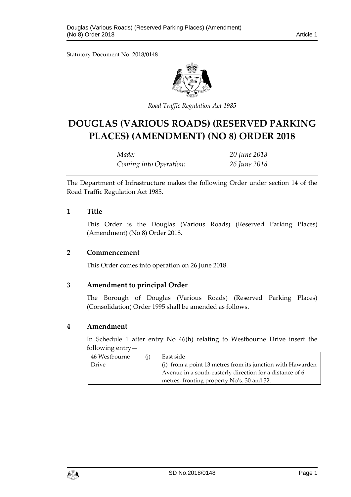Statutory Document No. 2018/0148



*Road Traffic Regulation Act 1985*

# **DOUGLAS (VARIOUS ROADS) (RESERVED PARKING PLACES) (AMENDMENT) (NO 8) ORDER 2018**

| Made:                  | 20 June 2018 |
|------------------------|--------------|
| Coming into Operation: | 26 June 2018 |

The Department of Infrastructure makes the following Order under section 14 of the Road Traffic Regulation Act 1985.

#### **1 Title**

This Order is the Douglas (Various Roads) (Reserved Parking Places) (Amendment) (No 8) Order 2018.

#### **2 Commencement**

This Order comes into operation on 26 June 2018.

## **3 Amendment to principal Order**

The Borough of Douglas (Various Roads) (Reserved Parking Places) (Consolidation) Order 1995 shall be amended as follows.

## **4 Amendment**

In Schedule 1 after entry No 46(h) relating to Westbourne Drive insert the following entry—

| 46 Westbourne | East side                                                  |
|---------------|------------------------------------------------------------|
| <b>Drive</b>  | (i) from a point 13 metres from its junction with Hawarden |
|               | Avenue in a south-easterly direction for a distance of 6   |
|               | metres, fronting property No's. 30 and 32.                 |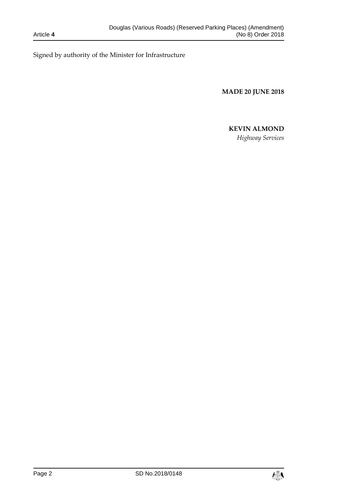Signed by authority of the Minister for Infrastructure

**MADE 20 JUNE 2018**

# **KEVIN ALMOND**

*Highway Services*